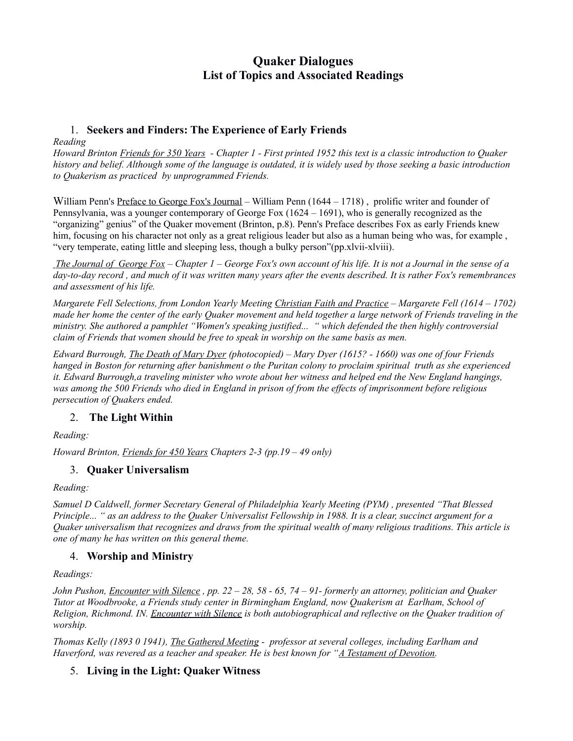# **Quaker Dialogues List of Topics and Associated Readings**

## 1. **Seekers and Finders: The Experience of Early Friends**

*Reading*

*Howard Brinton Friends for 350 Years - Chapter 1 - First printed 1952 this text is a classic introduction to Quaker history and belief. Although some of the language is outdated, it is widely used by those seeking a basic introduction to Quakerism as practiced by unprogrammed Friends.*

William Penn's Preface to George Fox's Journal – William Penn (1644 – 1718), prolific writer and founder of Pennsylvania, was a younger contemporary of George Fox (1624 – 1691), who is generally recognized as the "organizing" genius" of the Quaker movement (Brinton, p.8). Penn's Preface describes Fox as early Friends knew him, focusing on his character not only as a great religious leader but also as a human being who was, for example, "very temperate, eating little and sleeping less, though a bulky person"(pp.xlvii-xlviii).

 *The Journal of George Fox – Chapter 1 – George Fox's own account of his life. It is not a Journal in the sense of a day-to-day record , and much of it was written many years after the events described. It is rather Fox's remembrances and assessment of his life.*

*Margarete Fell Selections, from London Yearly Meeting Christian Faith and Practice – Margarete Fell (1614 – 1702) made her home the center of the early Quaker movement and held together a large network of Friends traveling in the ministry. She authored a pamphlet "Women's speaking justified... " which defended the then highly controversial claim of Friends that women should be free to speak in worship on the same basis as men.*

*Edward Burrough, The Death of Mary Dyer (photocopied) – Mary Dyer (1615? - 1660) was one of four Friends hanged in Boston for returning after banishment o the Puritan colony to proclaim spiritual truth as she experienced it. Edward Burrough,a traveling minister who wrote about her witness and helped end the New England hangings, was among the 500 Friends who died in England in prison of from the effects of imprisonment before religious persecution of Quakers ended.*

## 2. **The Light Within**

*Reading:*

*Howard Brinton, Friends for 450 Years Chapters 2-3 (pp.19 – 49 only)*

#### 3. **Quaker Universalism**

*Reading:*

*Samuel D Caldwell, former Secretary General of Philadelphia Yearly Meeting (PYM) , presented "That Blessed Principle... " as an address to the Quaker Universalist Fellowship in 1988. It is a clear, succinct argument for a Quaker universalism that recognizes and draws from the spiritual wealth of many religious traditions. This article is one of many he has written on this general theme.*

## 4. **Worship and Ministry**

*Readings:*

*John Pushon, Encounter with Silence , pp. 22 – 28, 58 - 65, 74 – 91- formerly an attorney, politician and Quaker Tutor at Woodbrooke, a Friends study center in Birmingham England, now Quakerism at Earlham, School of Religion, Richmond. IN. Encounter with Silence is both autobiographical and reflective on the Quaker tradition of worship.*

*Thomas Kelly (1893 0 1941), The Gathered Meeting - professor at several colleges, including Earlham and Haverford, was revered as a teacher and speaker. He is best known for "A Testament of Devotion.*

## 5. **Living in the Light: Quaker Witness**